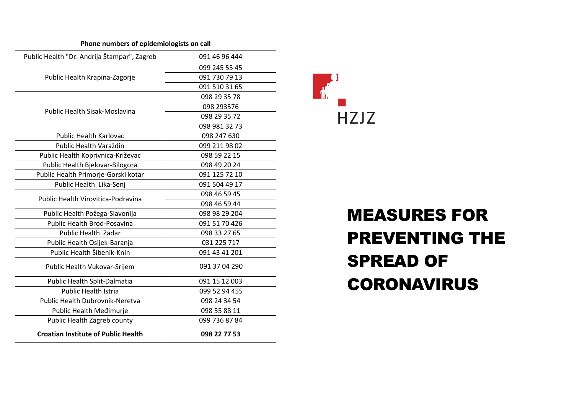| Phone numbers of epidemiologists on call    |               |
|---------------------------------------------|---------------|
| Public Health "Dr. Andrija Štampar", Zagreb | 091 46 96 444 |
| Public Health Krapina-Zagorje               | 099 245 55 45 |
|                                             | 091 730 79 13 |
|                                             | 091 510 31 65 |
| <b>Public Health Sisak-Moslavina</b>        | 098 29 35 78  |
|                                             | 098 293576    |
|                                             | 098 29 35 72  |
|                                             | 098 981 32 73 |
| <b>Public Health Karlovac</b>               | 098 247 630   |
| Public Health Varaždin                      | 099 211 98 02 |
| Public Health Koprivnica-Križevac           | 098 59 22 15  |
| Public Health Bjelovar-Bilogora             | 098 49 20 24  |
| Public Health Primorje-Gorski kotar         | 091 125 72 10 |
| Public Health Lika-Senj                     | 091 504 49 17 |
| Public Health Virovitica-Podravina          | 098 46 59 45  |
|                                             | 098 46 59 44  |
| Public Health Požega-Slavonija              | 098 98 29 204 |
| <b>Public Health Brod-Posavina</b>          | 091 51 70 426 |
| Public Health Zadar                         | 098 33 27 65  |
| Public Health Osijek-Baranja                | 031 225 717   |
| Public Health Šibenik-Knin                  | 091 43 41 201 |
| Public Health Vukovar-Srijem                | 091 37 04 290 |
| Public Health Split-Dalmatia                | 091 15 12 003 |
| <b>Public Health Istria</b>                 | 099 52 94 455 |
| Public Health Dubrovnik-Neretva             | 098 24 34 54  |
| Public Health Medimurje                     | 098 55 88 11  |
| Public Health Zagreb county                 | 099 736 87 84 |
| <b>Croatian Institute of Public Health</b>  | 098 22 77 53  |



## MEASURES FOR PREVENTING THE SPREAD OF CORONAVIRUS